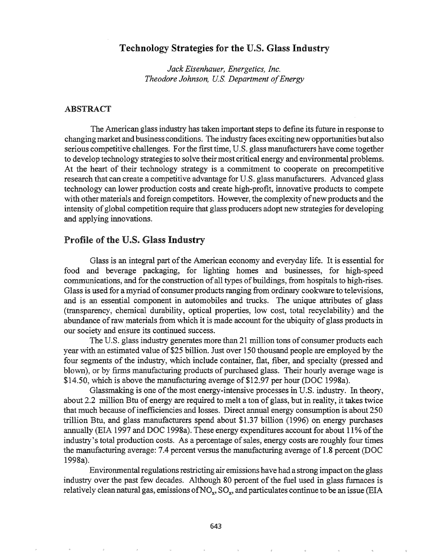# Technology Strategies for the U.S. Glass Industry

*Jack Eisenhauer, Energetics, Inc. Theodore Johnson, U.S. Department ofEnergy*

# ABSTRACT

The American glass industry has taken important steps to define its future in response to changing market and business conditions. The industry faces exciting newopportunities but also serious competitive challenges. For the first time, U.S. glass manufacturers have come together to develop technology strategies to solve their most critical energy and environmental problems. At the heart of their technology strategy is a commitment to cooperate on precompetitive research that can create a competitive advantage for U.S. glass manufacturers. Advanced glass technology can lower production costs and create high-profit, innovative products to compete with other materials and foreign competitors. However, the complexity of new products and the intensity of global competition require that glass producers adopt new strategies for developing and applying innovations.

# Profile of the U.S. Glass Industry

Glass is an integral part of the American economy and everyday life. It is essential for food and beverage packaging, for lighting homes and businesses, for high-speed communications, and for the construction of all types of buildings, from hospitals to high-rises. Glass is used for a myriad of consumer products ranging from ordinary cookware to televisions, and is an essential component in automobiles and trucks. The unique attributes of glass (transparency, chemical durability, optical properties, low cost, total recyclability) and the abundance of raw materials from which it is made account for the ubiquity of glass products in our society and ensure its continued success.

The U.S. glass industry generates more than 21 million tons of consumer products each year with an estimated value of \$25 billion. Just over 150 thousand people are employed by the four segments of the industry, which include container, flat, fiber, and specialty (pressed and blown), or by firms manufacturing products of purchased glass. Their hourly average wage is \$14.50, which is above the manufacturing average of \$12.97 per hour (DOC 1998a).

Glassmaking is one of the most energy-intensive processes in U.S. industry. In theory, about 2.2 million Btu of energy are required to melt a ton of glass, but in reality, it takes twice that much because of inefficiencies and losses. Direct annual energy consumption is about 250 trillion Btu, and glass manufacturers spend about \$1.37 billion (1996) on energy purchases annually (EIA 1997 and DOC 1998a). These energy expenditures account for about 11% of the industry's total production costs. As a percentage of sales, energy costs are roughly four times the manufacturing average: 7.4 percent versus the manufacturing average of 1.8 percent (DOC 1998a).

Environmental regulations restricting air emissions have had a strong impact on the glass industry over the past few decades. Although 80 percent of the fuel used in glass furnaces is relatively clean natural gas, emissions of NO<sub>x</sub>, SO<sub>x</sub>, and particulates continue to be an issue (EIA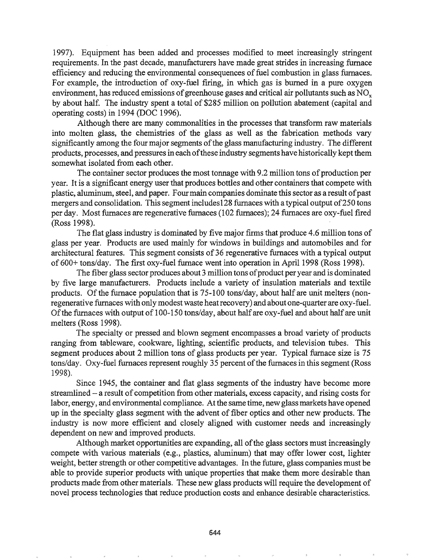1997). Equipment has been added and processes modified to meet increasingly stringent requirements. In the past decade, manufacturers have made great strides in increasing furnace efficiency and reducing the environmental consequences of fuel combustion in glass furnaces. For example, the introduction of oxy-fuel firing, in which gas is burned in a pure oxygen environment, has reduced emissions of greenhouse gases and critical air pollutants such as  $NO<sub>x</sub>$ by about half. The industry spent a total of \$285 million on pollution abatement (capital and operating costs) in 1994 (DOC 1996).

Although there are many commonalities in the processes that transform raw materials into molten glass, the chemistries of the glass as well as the fabrication methods vary significantly among the four major segments of the glass manufacturing industry. The different products, processes, and pressures in each ofthese industry segments have historically kept them somewhat isolated from each other.

The container sector produces the most tonnage with 9.2 million tons of production per year. It is a significant energy user that produces bottles and other containers that compete with plastic, aluminum, steel, and paper. Four main companies dominate this sector as a result of past mergers and consolidation. This segment includes128 furnaces with a typical output of250 tons per day. Most furnaces are regenerative furnaces (102 furnaces); 24 furnaces are oxy-fuel fired (Ross 1998).

The flat glass industry is dominated by five major firms that produce 4.6 million tons of glass per year. Products are used mainly for windows in buildings and automobiles and for architectural features. This segment consists of 36 regenerative furnaces with a typical output of 600+ tons/day. The first oxy-fuel furnace went into operation in April 1998 (Ross 1998).

The fiber glass sector produces about 3 million tons of product per year and is dominated by five large manufacturers. Products include a variety of insulation materials and textile products. Of the furnace population that is 75-100 tons/day, about half are unit melters (nonregenerative furnaces with only modest waste heat recovery) and about one-quarter are oxy-fuel. Of the furnaces with output of 100-150 tons/day, about half are oxy-fuel and about half are unit melters (Ross 1998)..

The specialty or pressed and blown segment encompasses a broad variety of products ranging from tableware, cookware, lighting, scientific products, and television tubes.. This segment produces about 2 million tons of glass products per year. Typical furnace size is 75 tons/day. Oxy-fuel furnaces represent roughly 35 percent of the furnaces in this segment (Ross 1998).

Since 1945, the container and flat glass segments of the industry have become more streamlined - a result of competition from other materials, excess capacity, and rising costs for labor, energy, and environmental compliance. At the same time, new glass markets have opened up in the specialty glass segment with the advent of fiber optics and other new products. The industry is now more efficient and closely aligned with customer needs and increasingly dependent on new and improved products..

Although market opportunities are expanding, all of the glass sectors must increasingly compete with various materials (e.g., plastics, aluminum) that may offer lower cost, lighter weight, better strength or other competitive advantages.. In the future, glass companies must be able to provide superior products with unique properties that make them more desirable than products made from other materials.. These new glass products will require the development of novel process technologies that reduce production costs and enhance desirable characteristics.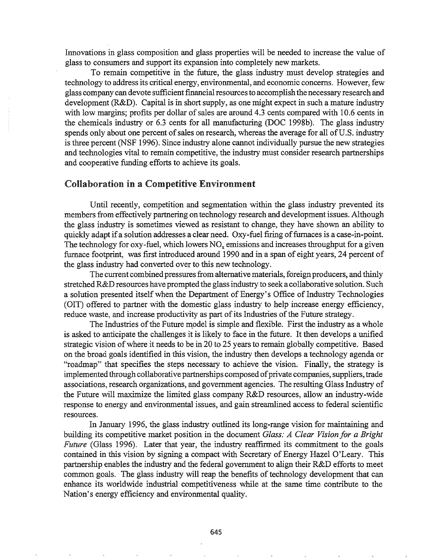Innovations in glass composition and glass properties will be needed to increase the value of glass to consumers and support its expansion into completely new markets.

To remain competitive in the future, the glass industry must develop strategies and technology to address its critical energy, environmental, and economic concerns. However, few glass company can devote sufficient financial resources to accomplish the necessary research and development (R&D). Capital is in short supply, as one might expect in such a mature industry with low margins; profits per dollar of sales are around 4.3 cents compared with 10.6 cents in the chemicals industry or 6.3 cents for all manufacturing (DOC 1998b). The glass industry spends only about one percent of sales on research, whereas the average for all of U.S. industry is three percent (NSF 1996). Since industry alone cannot individually pursue the new strategies and technologies vital to remain competitive, the industry must consider research partnerships and cooperative funding efforts to achieve its goals.

# Collaboration in a Competitive Environment

Until recently, competition and segmentation within the glass industry prevented its members from effectively partnering on technology research and development issues. Although the glass industry is sometimes viewed as resistant to change, they have shown an ability to quickly adapt if a solution addresses a clear need. Oxy-fuel firing of furnaces is a case-in-point. The technology for oxy-fuel, which lowers  $NO<sub>x</sub>$  emissions and increases throughput for a given furnace footprint, was first introduced around 1990 and in a span of eight years, 24 percent of the glass industry had converted over to this new technology.

The current combined pressuresfrom alternative materials, foreign producers, and thinly stretched R&D resources have prompted the glass industry to seek a collaborative solution. Such a solution presented itself when the Department of Energy's Office of Industry Technologies (OIT) offered to partner with the domestic glass industry to help increase energy efficiency, reduce waste, and increase productivity as part of its Industries of the Future strategy.

The Industries of the Future model is simple and flexible. First the industry as a whole is asked to anticipate the challenges it is likely to face in the future. It then develops a unified strategic vision of where it needs to be in 20 to 25 years to remain globally competitive. Based on the broad goals identified in this vision, the industry then develops a technology agenda or "roadmap" that specifies the steps necessary to achieve the vision. Finally, the strategy is implemented through collaborative partnerships composed of private companies, suppliers, trade associations, research organizations, and government agencies. The resulting Glass Industry of the Future will maximize the limited glass company R&D resources, allow an industry-wide response to energy and environmental issues, and gain streamlined access to federal scientific resources.

In January 1996, the glass industry outlined its long-range vision for maintaining and building its competitive market position in the document *Glass: A Clear Vision for a Bright Future* (Glass 1996). Later that year, the industry reaffirmed its commitment to the goals contained in this vision by signing a compact with Secretary of Energy Hazel O'Leary~ This partnership enables the industry and the federal government to align their R&D efforts to meet common goals. The glass industry will reap the benefits of technology development that can enhance its worldwide industrial competitiveness while at the same time contribute to the Nation's energy efficiency and environmental quality.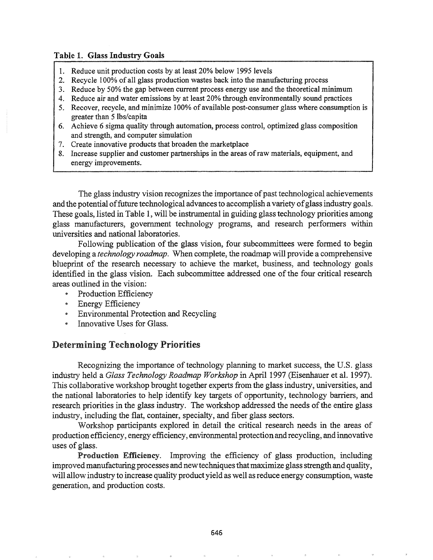### Table 1. Glass Industry Goals

- 1. Reduce unit production costs by at least 20% below 1995 levels
- 2. Recycle 100% of all glass production wastes back into the manufacturing process
- 3. Reduce by 50% the gap between current process energy use and the theoretical minimum
- 4. Reduce air and water emissions by at least 20% through environmentally sound practices
- 5. Recover, recycle, and minimize 100% of available post-consumer glass where consumption is greater than 5 lbs/capita
- 6. Achieve 6 sigma quality through automation, process control, optimized glass composition and strength, and computer simulation
- 7. Create innovative products that broaden the marketplace
- 8. Increase supplier and customer partnerships in the areas ofraw materials, equipment, and energy improvements.

The glass industry vision recognizes the importance of past technological achievements and the potential of future technological advances to accomplish a variety of glass industry goals. These goals, listed in Table 1, will be instrumental in guiding glass technology priorities among glass manufacturers, government technology programs, and research performers within universities and national laboratories.

Following publication of the glass vision, four subcommittees were formed to begin developing a *technology roadmap.* When complete, the roadmap will provide a comprehensive blueprint of the research necessary to achieve the market, business, and technology goals identified in the glass vision. Each subcommittee addressed one of the four critical research areas outlined in the vision:

- Production Efficiency
- Energy Efficiency
- \* Environmental Protection and Recycling
- $\bullet$  Innovative Uses for Glass.

### Determining Technology Priorities

Recognizing the importance of technology planning to market success, the U.S. glass industry held a *Glass Technology Roadmap Workshop* in April 1997 (Eisenhauer et al. 1997). This collaborative workshop brought together experts from the glass industry, universities, and the national laboratories to help identify key targets of opportunity, technology barriers, and research priorities in the glass industry. The workshop addressed the needs of the entire glass industry, including the flat, container, specialty, and fiber glass sectors.

Workshop participants explored in detail the critical research needs in the areas of production efficiency, energy efficiency, environmental protection and recycling, and innovative uses of glass.

Production Efficiency. Improving the efficiency of glass production, including improved manufacturing processes and new techniques that maximize glass strength and quality, will allow industry to increase quality product yield as well asreduce energy consumption, waste generation, and production costs..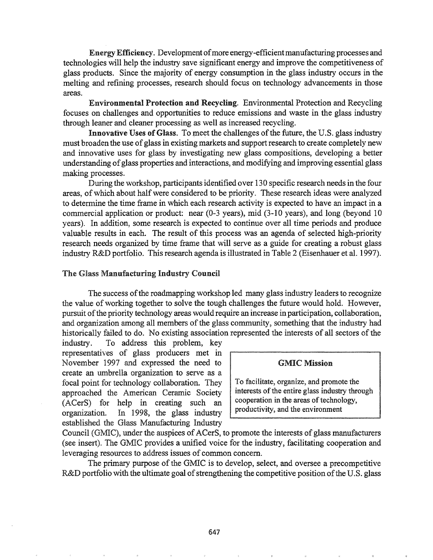EnergyEfficiency. Development ofmore energy-efficientmanufacturing processes and technologies will help the industry save significant energy and improve the competitiveness of glass products. Since the majority of energy consumption in the glass industry occurs in the melting and refining processes, research should focus on technology advancements in those areas.

Environmental Protection and Recycling. Environmental Protection and Recycling focuses on challenges and opportunities to reduce emissions and waste in the glass industry through leaner and cleaner processing as well as increased recycling.

Innovative Uses of Glass. To meet the challenges of the future, the U.S. glass industry must broaden the use of glass in existing markets and support research to create completely new and innovative uses for glass by investigating new glass compositions, developing a better understanding ofglass properties and interactions, and modifying and improving essential glass making processes.

During the workshop, participants identified over 130 specific research needs in the four areas, of which about half were considered to be priority. These research ideas were analyzed to determine the time frame in which each research activity is expected to have an impact in a commercial application or product: near (0-3 years), mid (3-10 years), and long (beyond 10 years). In addition, some research is expected to continue over all time periods and produce valuable results in each. The result of this process was an agenda of selected high-priority research needs organized by time frame that will serve as a guide for creating a robust glass industry R&D portfolio. This research agenda is illustrated in Table 2 (Eisenhauer et al. 1997).

### The Glass Manufacturing Industry Council

The success ofthe roadmapping workshop led many glass industry leaders to recognize the value of working together to solve the tough challenges the future would hold. However, pursuit of the priority technology areas would require an increase in participation, collaboration, and organization among all members of the glass community, something that the industry had historically failed to do. No existing association represented the interests of all sectors of the

industry. To address this problem, key representatives of glass producers met in November 1997 and expressed the need to GMIC Mission create an umbrella organization to serve as a focal point for technology collaboration. They  $\parallel$  To facilitate, organize, and promote the approached the American Ceramic Society  $\int$  interests of the entire glass industry through (ACerS) for help in creating such an cooperation in the areas of technology, organization. In 1998, the glass industry established the Glass Manufacturing Industry

Council (GMIC), under the auspices of ACerS, to promote the interests of glass manufacturers (see insert). The GMIC provides a unified voice for the industry, facilitating cooperation and leveraging resources to address issues of common concern.

The primary purpose of the GMIC is to develop, select, and oversee a precompetitive R&D portfolio with the ultimate goal of strengthening the competitive position of the U.S. glass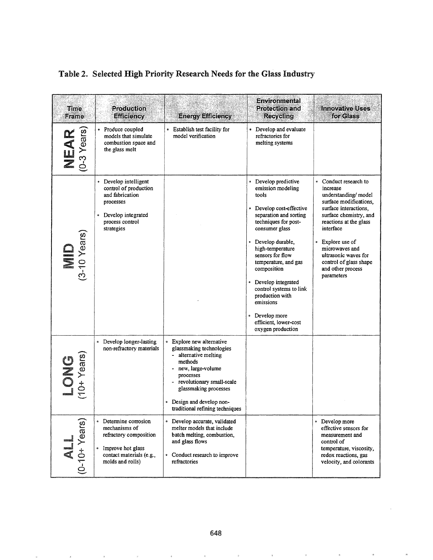| Table 2. Selected High Priority Research Needs for the Glass Industry |  |  |  |
|-----------------------------------------------------------------------|--|--|--|
|                                                                       |  |  |  |
|                                                                       |  |  |  |
|                                                                       |  |  |  |
|                                                                       |  |  |  |

| Time<br>Frame                                                       | Production<br><b>Efficiency</b>                                                                                                                             | <b>Energy Efficiency</b>                                                                                                                                                                                                                        | <b>Environmental</b><br><b>Protection and</b><br><b>Recycling</b>                                                                                                                                                                                                                                                                                                                                         | <b>Innovative Uses</b><br>for Glass                                                                                                                                                                                                                                                                   |
|---------------------------------------------------------------------|-------------------------------------------------------------------------------------------------------------------------------------------------------------|-------------------------------------------------------------------------------------------------------------------------------------------------------------------------------------------------------------------------------------------------|-----------------------------------------------------------------------------------------------------------------------------------------------------------------------------------------------------------------------------------------------------------------------------------------------------------------------------------------------------------------------------------------------------------|-------------------------------------------------------------------------------------------------------------------------------------------------------------------------------------------------------------------------------------------------------------------------------------------------------|
| NEAR<br>(0-3 Years)                                                 | • Produce coupled<br>models that simulate<br>combustion space and<br>the glass melt                                                                         | • Establish test facility for<br>model verification                                                                                                                                                                                             | • Develop and evaluate<br>refractories for<br>melting systems                                                                                                                                                                                                                                                                                                                                             |                                                                                                                                                                                                                                                                                                       |
| $\begin{array}{c} \textbf{MD} \\ \textbf{(3-10 Years)} \end{array}$ | • Develop intelligent<br>control of production<br>and fabrication<br>processes<br>• Develop integrated<br>process control<br>strategies                     |                                                                                                                                                                                                                                                 | • Develop predictive<br>emission modeling<br>tools<br>• Develop cost-effective<br>separation and sorting<br>techniques for post-<br>consumer glass<br>Develop durable,<br>high-temperature<br>sensors for flow<br>temperature, and gas<br>composition<br>Develop integrated<br>control systems to link<br>production with<br>emissions<br>Develop more<br>ø<br>efficient, lower-cost<br>oxygen production | • Conduct research to<br>increase<br>understanding/model<br>surface modifications,<br>surface interactions,<br>surface chemistry, and<br>reactions at the glass<br>interface<br>Explore use of<br>microwaves and<br>ultrasonic waves for<br>control of glass shape<br>and other process<br>parameters |
| $\begin{array}{c} \text{LOMG} \\ \text{(10+ Years)} \end{array}$    | Develop longer-lasting<br>$\bullet$<br>non-refractory materials                                                                                             | • Explore new alternative<br>glassmaking technologies<br>- alternative melting<br>methods<br>new, large-volume<br>processes<br>revolutionary small-scale<br>glassmaking processes<br>Design and develop non-<br>traditional refining techniques |                                                                                                                                                                                                                                                                                                                                                                                                           |                                                                                                                                                                                                                                                                                                       |
| $\left \bigcup_{(0-10^+ \text{ Years})} \right $                    | Determine corrosion<br>$\bullet$<br>mechanisms of<br>refractory composition<br>$\circ$<br>Improve hot glass<br>contact materials (e.g.,<br>molds and rolls) | · Develop accurate, validated<br>melter models that include<br>batch melting, combustion,<br>and glass flows<br>• Conduct research to improve<br>refractories                                                                                   |                                                                                                                                                                                                                                                                                                                                                                                                           | • Develop more<br>effective sensors for<br>measurement and<br>control of<br>temperature, viscosity,<br>redox reactions, gas<br>velocity, and colorants                                                                                                                                                |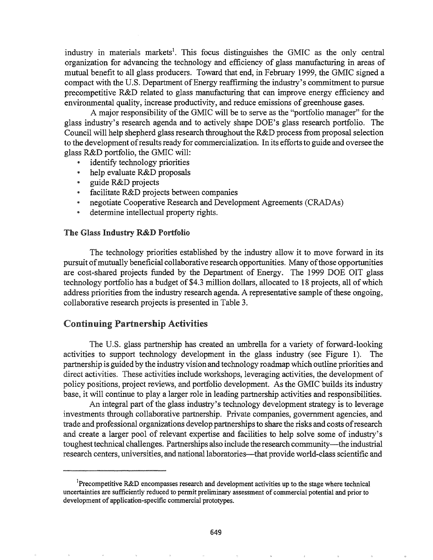industry in materials markets<sup>1</sup>. This focus distinguishes the GMIC as the only central organization for advancing the technology and efficiency of glass manufacturing in areas of mutual benefit to all glass producers. Toward that end, in February 1999, the GMIC signed a compact with the U.S. Department of Energy reaffirming the industry's commitment to pursue precompetitive R&D related to glass manufacturing that can improve energy efficiency and environmental quality, increase productivity, and reduce emissions of greenhouse gases.

A major responsibility of the GMIC will be to serve as the "portfolio manager" for the glass industry's research agenda and to actively shape DOE's glass research portfolio. The Council will help shepherd glass research throughout the R&D process from proposal selection to the development ofresults ready for commercialization. In its effortsto guide and oversee the glass R&D portfolio, the GMIC will:

- identify technology priorities
- <sup>e</sup> help evaluate R&D proposals
- guide R&D projects
- @ facilitate R&D projects between companies
- \* negotiate Cooperative Research and Development Agreements (CRADAs)
- determine intellectual property rights.

### The Glass Industry R&D Portfolio

The technology priorities established by the industry allow it to move forward in its pursuit of mutually beneficial collaborative research opportunities. Many of those opportunities are cost-shared projects funded by the Department of Energy. The 1999 DOE OIT glass technology portfolio has a budget of \$4.3 million dollars, allocated to 18 projects, all of which address priorities from the industry research agenda. A representative sample ofthese ongoing, collaborative research projects is presented in Table 3.

# Continuing Partnership Activities

The U.S. glass partnership has created an umbrella for a variety of forward-looking activities to support technology development in the glass industry (see Figure 1). The partnership is guided by the industry vision and technology roadmap which outline priorities and direct activities. These activities include workshops, leveraging activities, the development of policy positions, project reviews, and portfolio development. As the GMIC builds its industry base, it will continue to play a larger role in leading partnership activities and responsibilities.

An integral part of the glass industry's technology development strategy is to leverage investments through collaborative partnership. Private companies, government agencies, and trade and professional organizations develop partnershipsto share the risks and costs ofresearch and create a larger pool of relevant expertise and facilities to help solve some of industry's toughest technical challenges. Partnerships also include the research community-the industrial research centers, universities, and national laboratories-that provide world-class scientific and

<sup>&</sup>lt;sup>1</sup>Precompetitive R&D encompasses research and development activities up to the stage where technical uncertainties are sufficiently reduced to permit preliminary assessment of commercial potential and prior to development of application-specific commercial prototypes.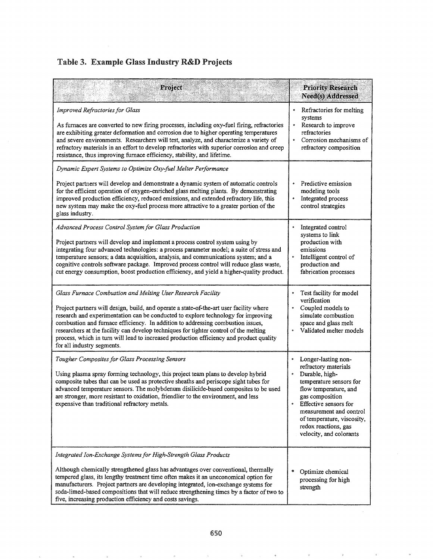# Table 3. Example Glass Industry R&D Projects

| Project                                                                                                                                                                                                                                                                                                                                                                                                                                                                                                                                          | <b>Priority Research</b><br>Need(s) Addressed                                                                                                                                                                                                                                  |  |
|--------------------------------------------------------------------------------------------------------------------------------------------------------------------------------------------------------------------------------------------------------------------------------------------------------------------------------------------------------------------------------------------------------------------------------------------------------------------------------------------------------------------------------------------------|--------------------------------------------------------------------------------------------------------------------------------------------------------------------------------------------------------------------------------------------------------------------------------|--|
| Improved Refractories for Glass<br>As furnaces are converted to new firing processes, including oxy-fuel firing, refractories<br>are exhibiting greater deformation and corrosion due to higher operating temperatures<br>and severe environments. Researchers will test, analyze, and characterize a variety of<br>refractory materials in an effort to develop refractories with superior corrosion and creep<br>resistance, thus improving furnace efficiency, stability, and lifetime.                                                       | Refractories for melting<br>systems<br>Research to improve<br>۰<br>refractories<br>Corrosion mechanisms of<br>$\bullet$<br>refractory composition                                                                                                                              |  |
| Dynamic Expert Systems to Optimize Oxy-fuel Melter Performance                                                                                                                                                                                                                                                                                                                                                                                                                                                                                   |                                                                                                                                                                                                                                                                                |  |
| Project partners will develop and demonstrate a dynamic system of automatic controls<br>for the efficient operation of oxygen-enriched glass melting plants. By demonstrating<br>improved production efficiency, reduced emissions, and extended refractory life, this<br>new system may make the oxy-fuel process more attractive to a greater portion of the<br>glass industry.                                                                                                                                                                | Predictive emission<br>۰<br>modeling tools<br>Integrated process<br>$\bullet$<br>control strategies                                                                                                                                                                            |  |
| Advanced Process Control System for Glass Production<br>Project partners will develop and implement a process control system using by<br>integrating four advanced technologies: a process parameter model; a suite of stress and<br>temperature sensors; a data acquisition, analysis, and communications system; and a<br>cognitive controls software package. Improved process control will reduce glass waste,<br>cut energy consumption, boost production efficiency, and yield a higher-quality product.                                   | Integrated control<br>$\bullet$<br>systems to link<br>production with<br>emissions<br>Intelligent control of<br>$\bullet$<br>production and<br>fabrication processes                                                                                                           |  |
| Glass Furnace Combustion and Melting User Research Facility<br>Project partners will design, build, and operate a state-of-the-art user facility where<br>research and experimentation can be conducted to explore technology for improving<br>combustion and furnace efficiency. In addition to addressing combustion issues,<br>researchers at the facility can develop techniques for tighter control of the melting<br>process, which in turn will lead to increased production efficiency and product quality<br>for all industry segments. | Test facility for model<br>verification<br>Coupled models to<br>simulate combustion<br>space and glass melt<br>Validated melter models                                                                                                                                         |  |
| Tougher Composites for Glass Processing Sensors<br>Using plasma spray forming technology, this project team plans to develop hybrid<br>composite tubes that can be used as protective sheaths and periscope sight tubes for<br>advanced temperature sensors. The molybdenum disilicide-based composites to be used<br>are stronger, more resistant to oxidation, friendlier to the environment, and less<br>expensive than traditional refractory metals.                                                                                        | Longer-lasting non-<br>۰<br>refractory materials<br>Durable, high-<br>temperature sensors for<br>flow temperature, and<br>gas composition<br>Effective sensors for<br>measurement and control<br>of temperature, viscosity,<br>redox reactions, gas<br>velocity, and colorants |  |
| Integrated Ion-Exchange Systems for High-Strength Glass Products<br>Although chemically strengthened glass has advantages over conventional, thermally<br>tempered glass, its lengthy treatment time often makes it an uneconomical option for<br>manufacturers. Project partners are developing integrated, ion-exchange systems for<br>soda-limed-based compositions that will reduce strengthening times by a factor of two to<br>five, increasing production efficiency and costs savings.                                                   | Optimize chemical<br>processing for high<br>strength                                                                                                                                                                                                                           |  |

 $\bar{B}$ 

 $\ddot{\phantom{a}}$ 

 $\bar{\pi}$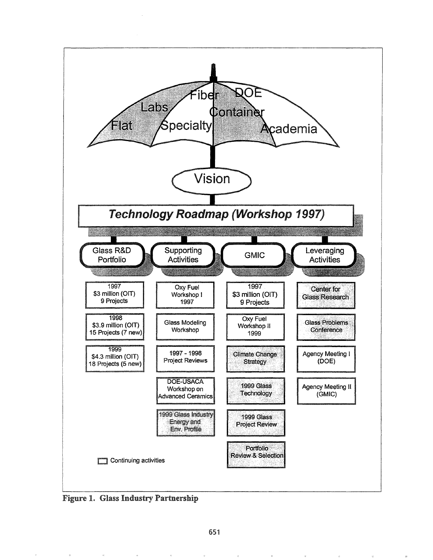

Figure 1. Glass Industry Partnership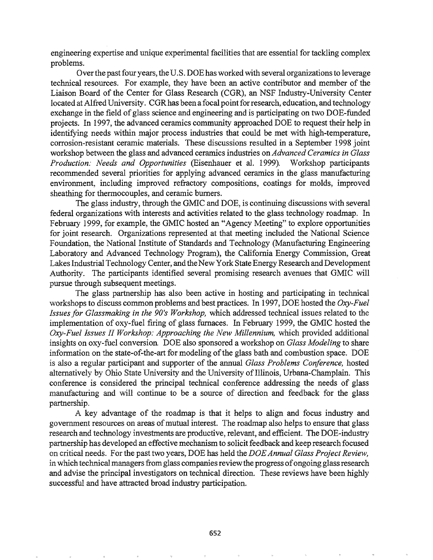engineering expertise and unique experimental facilities that are essential for tackling complex problems.

Over the past four years, the U.S. DOE has worked with several organizations to leverage technical resources. For example, they have been an active contributor and member of the Liaison Board of the Center for Glass Research (CGR), an NSF Industry-University Center located at Alfred University. CGR has been a focal point for research, education, and technology exchange in the field of glass science and engineering and is participating on two DOE-funded projects. In 1997, the advanced ceramics community approached DOE to request their help in identifying needs within major process industries that could be met with high-temperature, corrosion-resistant ceramic materials. These discussions resulted in a September 1998 joint workshop between the glass and advanced ceramics industries on *Advanced Ceramics in Glass Production: Needs and Opportunities* (Eisenhauer et al. 1999). Workshop participants recommended several priorities for applying advanced ceramics in the glass manufacturing environment, including improved refractory compositions, coatings for molds, improved sheathing for thermocouples, and ceramic burners.

The glass industry, through the GMIC and DOE, is continuing discussions with several federal organizations with interests and activities related to the glass technology roadmap. In February 1999, for example, the GMIC hosted an "Agency Meeting" to explore opportunities for joint research. Organizations represented at that meeting included the National Science Foundation, the National Institute of Standards and Technology (Manufacturing Engineering Laboratory and Advanced Technology Program), the California Energy Commission, Great LakesIndustrial Technology Center, and the New York State Energy Research and Development Authority. The participants identified several promising research avenues that GMIC will pursue through subsequent meetings.

The glass partnership has also been active in hosting and participating in technical workshops to discuss common problems and best practices. In 1997, DOE hosted the *Oxy-Fuel Issues for Glassmaking in the 90's Workshop, which addressed technical issues related to the* implementation of oxy-fuel firing of glass furnaces. In February 1999, the GMIC hosted the *Oxy-Fuel Issues II Workshop: Approaching the New Millennium,* which provided additional insights on oxy-fuel conversion DOE also sponsored a workshop on *Glass Modeling* to share information on the state-of-the-art for modeling of the glass bath and combustion space. DOE is also a regular participant and supporter of the annual *Glass Problems Conference*, hosted alternatively by Ohio State University and the University of Illinois, Urbana-Champlain. This conference is considered the principal technical conference addressing the needs of glass manufacturing and will continue to be a source of direction and feedback for the glass partnership.

A key advantage of the roadmap is that it helps to align and focus industry and government resources on areas of mutual interest. The roadmap also helps to ensure that glass research and technology investments are productive, relevant, and efficient. The DOE-industry partnership has developed an effective mechanism to solicit feedback and keep research focused on critical needs. Forthe past two years, DOE has held the *DOEAnnual Glass Project Review,* in which technical managers from glass companies review the progress of ongoing glass research and advise the principal investigators on technical direction. These reviews have been highly successful and have attracted broad industry participation.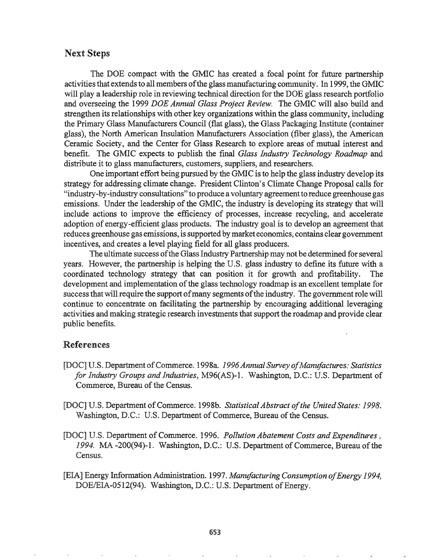# Next Steps

The DOE compact with the GMIC has created a focal point for future partnership activities that extends to all members of the glass manufacturing community. In 1999, the GMIC will play a leadership role in reviewing technical direction for the DOE glass research portfolio and overseeing the 1999 *DOE Annual Glass Project Review.* The GMIC will also build and strengthen its relationships with other key organizations within the glass community, including the Primary Glass Manufacturers Council (flat glass), the Glass Packaging Institute (container glass), the North American Insulation Manufacturers Association (fiber glass), the American Ceramic Society, and the Center for Glass Research to explore areas of mutual interest and benefit. The GMIC expects to publish the final *Glass Industry Technology Roadmap* and distribute it to glass manufacturers, customers, suppliers, and researchers.

One important effort being pursued by the GMIC is to help the glass industry develop its strategy for addressing climate change. President Clinton's Climate Change Proposal calls for "industry-by-industry consultations" to produce a voluntary agreement to reduce greenhouse gas emissions. Under the leadership of the GMIC, the industry is developing its strategy that will include actions to improve the efficiency of processes, increase recycling, and accelerate adoption of energy-efficient glass products. The industry goal is to develop an agreement that reduces greenhouse gas emissions, is supported by market economics, contains clear government incentives, and creates a level playing field for all glass producers.

The ultimate success of the Glass Industry Partnership may not be determined for several years. However, the partnership is helping the U.S. glass industry to define its future with a coordinated technology strategy that can position it for growth and profitability. The development and implementation of the glass technology roadmap is an excellent template for success that will require the support of many segments of the industry. The government role will continue to concentrate on facilitating the partnership by encouraging additional leveraging activities and making strategic research investments that support the roadmap and provide clear public benefits.

# References

- [DOC] U.S. DepartmentofCommerce~1998a. *1996Annual Survey ofManufactures: Statistics for Industry Groups and Industries, M96(AS)-1. Washington, D.C.: U.S. Department of* Commerce, Bureau of the Census.
- [DO.C] U.S. Department ofCommerce. 1998b. *Statistical Abstract ofthe United States: 1998.* Washington, D.C.: U.S. Department of Commerce, Bureau of the Census.
- [DOC] U.S. Department of Commerce. 1996. Pollution Abatement Costs and Expenditures, 1994. MA -200(94)-1. Washington, D.C.: U.S. Department of Commerce, Bureau of the Census.
- [EIA] Energy Information Administration. 1997 *Manufacturing Consumption ofEnergy 1994,* DOE/EIA-0512(94). Washington, D.C.: U.S. Department of Energy.